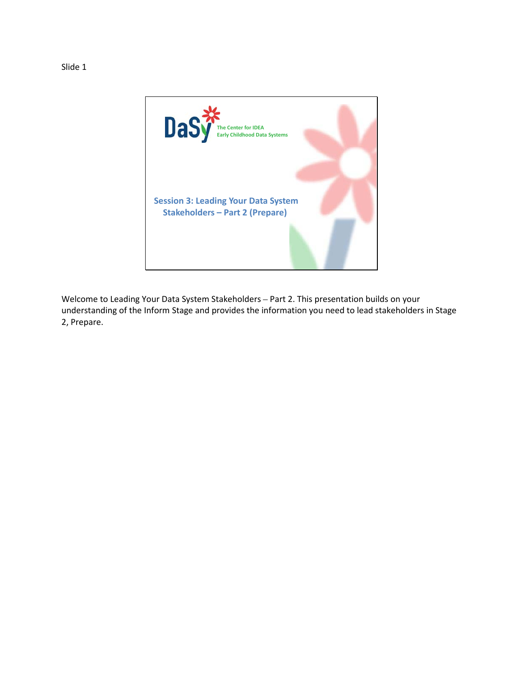

Welcome to Leading Your Data System Stakeholders – Part 2. This presentation builds on your understanding of the Inform Stage and provides the information you need to lead stakeholders in Stage 2, Prepare.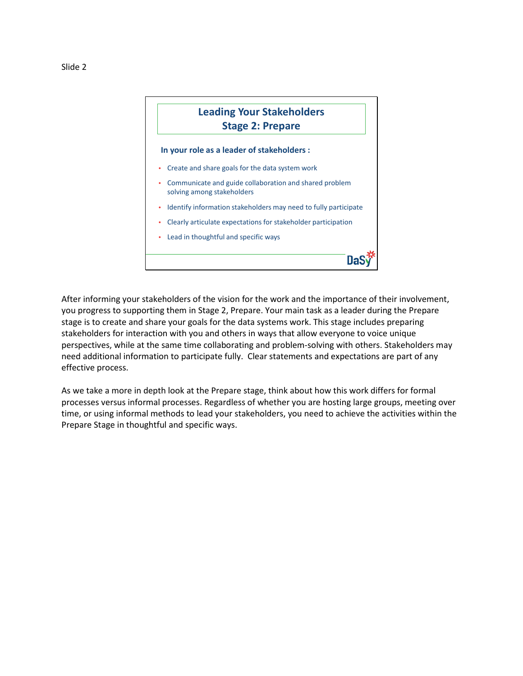

After informing your stakeholders of the vision for the work and the importance of their involvement, you progress to supporting them in Stage 2, Prepare. Your main task as a leader during the Prepare stage is to create and share your goals for the data systems work. This stage includes preparing stakeholders for interaction with you and others in ways that allow everyone to voice unique perspectives, while at the same time collaborating and problem-solving with others. Stakeholders may need additional information to participate fully. Clear statements and expectations are part of any effective process.

As we take a more in depth look at the Prepare stage, think about how this work differs for formal processes versus informal processes. Regardless of whether you are hosting large groups, meeting over time, or using informal methods to lead your stakeholders, you need to achieve the activities within the Prepare Stage in thoughtful and specific ways.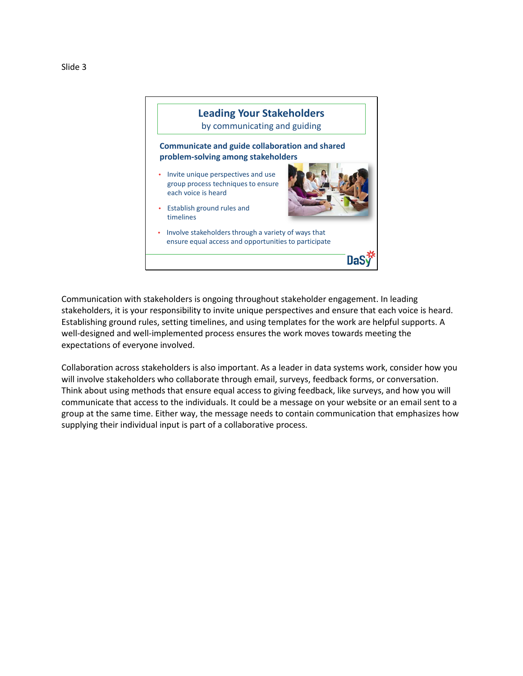



Communication with stakeholders is ongoing throughout stakeholder engagement. In leading stakeholders, it is your responsibility to invite unique perspectives and ensure that each voice is heard. Establishing ground rules, setting timelines, and using templates for the work are helpful supports. A well-designed and well-implemented process ensures the work moves towards meeting the expectations of everyone involved.

Collaboration across stakeholders is also important. As a leader in data systems work, consider how you will involve stakeholders who collaborate through email, surveys, feedback forms, or conversation. Think about using methods that ensure equal access to giving feedback, like surveys, and how you will communicate that access to the individuals. It could be a message on your website or an email sent to a group at the same time. Either way, the message needs to contain communication that emphasizes how supplying their individual input is part of a collaborative process.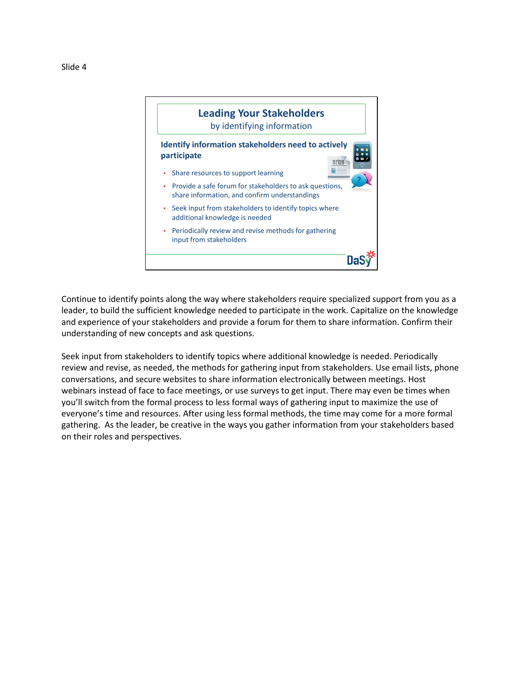



Continue to identify points along the way where stakeholders require specialized support from you as a leader, to build the sufficient knowledge needed to participate in the work. Capitalize on the knowledge and experience of your stakeholders and provide a forum for them to share information. Confirm their understanding of new concepts and ask questions.

Seek input from stakeholders to identify topics where additional knowledge is needed. Periodically review and revise, as needed, the methods for gathering input from stakeholders. Use email lists, phone conversations, and secure websites to share information electronically between meetings. Host webinars instead of face to face meetings, or use surveys to get input. There may even be times when you'll switch from the formal process to less formal ways of gathering input to maximize the use of everyone's time and resources. After using less formal methods, the time may come for a more formal gathering. As the leader, be creative in the ways you gather information from your stakeholders based on their roles and perspectives.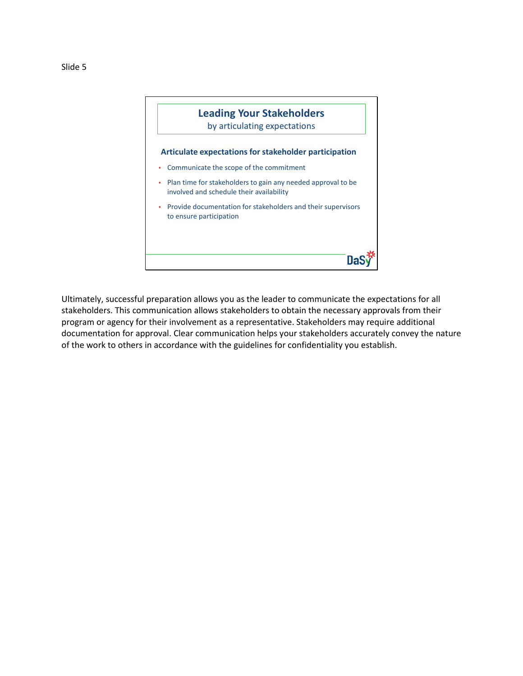



Ultimately, successful preparation allows you as the leader to communicate the expectations for all stakeholders. This communication allows stakeholders to obtain the necessary approvals from their program or agency for their involvement as a representative. Stakeholders may require additional documentation for approval. Clear communication helps your stakeholders accurately convey the nature of the work to others in accordance with the guidelines for confidentiality you establish.